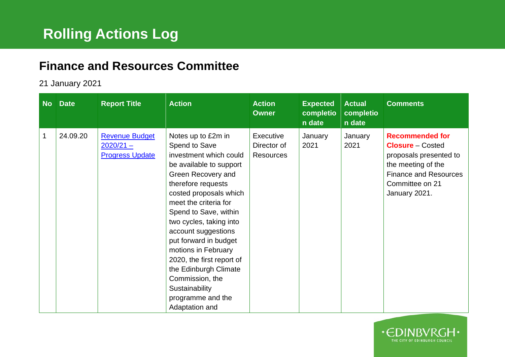## **Finance and Resources Committee**

## 21 January 2021

| <b>No</b> | <b>Date</b> | <b>Report Title</b>                                            | <b>Action</b>                                                                                                                                                                                                                                                                                                                                                                                                                                        | <b>Action</b><br><b>Owner</b>                | <b>Expected</b><br>completio<br>n date | <b>Actual</b><br>completio<br>n date | <b>Comments</b>                                                                                                                                                       |
|-----------|-------------|----------------------------------------------------------------|------------------------------------------------------------------------------------------------------------------------------------------------------------------------------------------------------------------------------------------------------------------------------------------------------------------------------------------------------------------------------------------------------------------------------------------------------|----------------------------------------------|----------------------------------------|--------------------------------------|-----------------------------------------------------------------------------------------------------------------------------------------------------------------------|
| 1         | 24.09.20    | <b>Revenue Budget</b><br>$2020/21 -$<br><b>Progress Update</b> | Notes up to £2m in<br>Spend to Save<br>investment which could<br>be available to support<br>Green Recovery and<br>therefore requests<br>costed proposals which<br>meet the criteria for<br>Spend to Save, within<br>two cycles, taking into<br>account suggestions<br>put forward in budget<br>motions in February<br>2020, the first report of<br>the Edinburgh Climate<br>Commission, the<br>Sustainability<br>programme and the<br>Adaptation and | Executive<br>Director of<br><b>Resources</b> | January<br>2021                        | January<br>2021                      | <b>Recommended for</b><br><b>Closure</b> – Costed<br>proposals presented to<br>the meeting of the<br><b>Finance and Resources</b><br>Committee on 21<br>January 2021. |

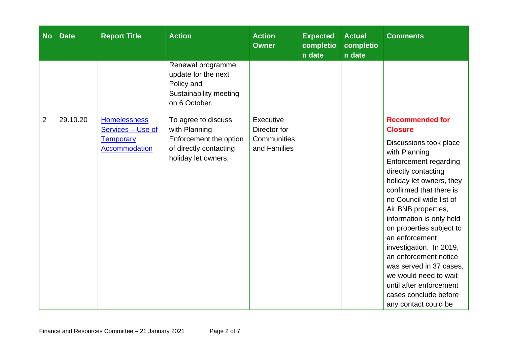| <b>No</b>      | <b>Date</b> | <b>Report Title</b>                                                           | <b>Action</b>                                                                                                   | <b>Action</b><br><b>Owner</b>                            | <b>Expected</b><br>completio<br>n date | <b>Actual</b><br>completio<br>n date | <b>Comments</b>                                                                                                                                                                                                                                                                                                                                                                                                                                                                                            |
|----------------|-------------|-------------------------------------------------------------------------------|-----------------------------------------------------------------------------------------------------------------|----------------------------------------------------------|----------------------------------------|--------------------------------------|------------------------------------------------------------------------------------------------------------------------------------------------------------------------------------------------------------------------------------------------------------------------------------------------------------------------------------------------------------------------------------------------------------------------------------------------------------------------------------------------------------|
|                |             |                                                                               | Renewal programme<br>update for the next<br>Policy and<br>Sustainability meeting<br>on 6 October.               |                                                          |                                        |                                      |                                                                                                                                                                                                                                                                                                                                                                                                                                                                                                            |
| $\overline{2}$ | 29.10.20    | <b>Homelessness</b><br>Services - Use of<br><b>Temporary</b><br>Accommodation | To agree to discuss<br>with Planning<br>Enforcement the option<br>of directly contacting<br>holiday let owners. | Executive<br>Director for<br>Communities<br>and Families |                                        |                                      | <b>Recommended for</b><br><b>Closure</b><br>Discussions took place<br>with Planning<br>Enforcement regarding<br>directly contacting<br>holiday let owners, they<br>confirmed that there is<br>no Council wide list of<br>Air BNB properties,<br>information is only held<br>on properties subject to<br>an enforcement<br>investigation. In 2019,<br>an enforcement notice<br>was served in 37 cases,<br>we would need to wait<br>until after enforcement<br>cases conclude before<br>any contact could be |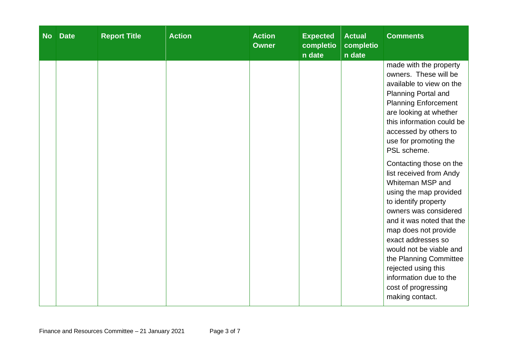| <b>No</b> | <b>Date</b> | <b>Report Title</b> | <b>Action</b> | <b>Action</b><br><b>Owner</b> | <b>Expected</b><br>completio<br>n date | <b>Actual</b><br>completio<br>n date | <b>Comments</b>                                                                                                                                                                                                                                                                                                                                                                                                                                                                                                                                                                                                                                  |
|-----------|-------------|---------------------|---------------|-------------------------------|----------------------------------------|--------------------------------------|--------------------------------------------------------------------------------------------------------------------------------------------------------------------------------------------------------------------------------------------------------------------------------------------------------------------------------------------------------------------------------------------------------------------------------------------------------------------------------------------------------------------------------------------------------------------------------------------------------------------------------------------------|
|           |             |                     |               |                               |                                        |                                      | made with the property<br>owners. These will be<br>available to view on the<br><b>Planning Portal and</b><br><b>Planning Enforcement</b><br>are looking at whether<br>this information could be<br>accessed by others to<br>use for promoting the<br>PSL scheme.<br>Contacting those on the<br>list received from Andy<br>Whiteman MSP and<br>using the map provided<br>to identify property<br>owners was considered<br>and it was noted that the<br>map does not provide<br>exact addresses so<br>would not be viable and<br>the Planning Committee<br>rejected using this<br>information due to the<br>cost of progressing<br>making contact. |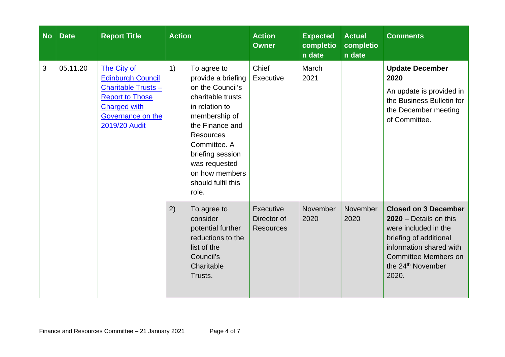| <b>No</b> | <b>Date</b> | <b>Report Title</b>                                                                                                                                         | <b>Action</b>                                                                                                                                                                                                                                                    | <b>Action</b><br><b>Owner</b>                       | <b>Expected</b><br>completio<br>n date | <b>Actual</b><br>completio<br>n date | <b>Comments</b>                                                                                                                                                                                               |
|-----------|-------------|-------------------------------------------------------------------------------------------------------------------------------------------------------------|------------------------------------------------------------------------------------------------------------------------------------------------------------------------------------------------------------------------------------------------------------------|-----------------------------------------------------|----------------------------------------|--------------------------------------|---------------------------------------------------------------------------------------------------------------------------------------------------------------------------------------------------------------|
| 3         | 05.11.20    | The City of<br><b>Edinburgh Council</b><br><b>Charitable Trusts-</b><br><b>Report to Those</b><br><b>Charged with</b><br>Governance on the<br>2019/20 Audit | 1)<br>To agree to<br>provide a briefing<br>on the Council's<br>charitable trusts<br>in relation to<br>membership of<br>the Finance and<br><b>Resources</b><br>Committee. A<br>briefing session<br>was requested<br>on how members<br>should fulfil this<br>role. | Chief<br>Executive                                  | March<br>2021                          |                                      | <b>Update December</b><br>2020<br>An update is provided in<br>the Business Bulletin for<br>the December meeting<br>of Committee.                                                                              |
|           |             |                                                                                                                                                             | 2)<br>To agree to<br>consider<br>potential further<br>reductions to the<br>list of the<br>Council's<br>Charitable<br>Trusts.                                                                                                                                     | <b>Executive</b><br>Director of<br><b>Resources</b> | November<br>2020                       | November<br>2020                     | <b>Closed on 3 December</b><br>$2020 - Details$ on this<br>were included in the<br>briefing of additional<br>information shared with<br><b>Committee Members on</b><br>the 24 <sup>th</sup> November<br>2020. |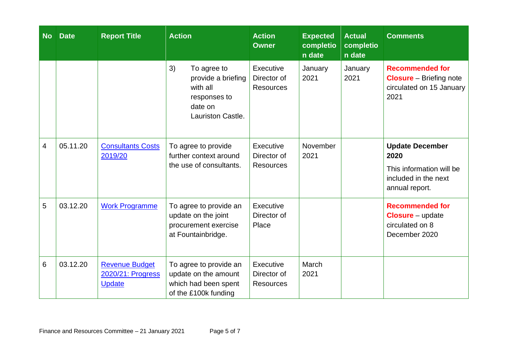| <b>No</b> | <b>Date</b> | <b>Report Title</b>                                         | <b>Action</b>                                                                                              | <b>Action</b><br><b>Owner</b>                | <b>Expected</b><br>completio<br>n date | <b>Actual</b><br>completio<br>n date | <b>Comments</b>                                                                                      |
|-----------|-------------|-------------------------------------------------------------|------------------------------------------------------------------------------------------------------------|----------------------------------------------|----------------------------------------|--------------------------------------|------------------------------------------------------------------------------------------------------|
|           |             |                                                             | 3)<br>To agree to<br>provide a briefing<br>with all<br>responses to<br>date on<br><b>Lauriston Castle.</b> | Executive<br>Director of<br><b>Resources</b> | January<br>2021                        | January<br>2021                      | <b>Recommended for</b><br><b>Closure</b> – Briefing note<br>circulated on 15 January<br>2021         |
| 4         | 05.11.20    | <b>Consultants Costs</b><br>2019/20                         | To agree to provide<br>further context around<br>the use of consultants.                                   | Executive<br>Director of<br><b>Resources</b> | November<br>2021                       |                                      | <b>Update December</b><br>2020<br>This information will be<br>included in the next<br>annual report. |
| 5         | 03.12.20    | <b>Work Programme</b>                                       | To agree to provide an<br>update on the joint<br>procurement exercise<br>at Fountainbridge.                | <b>Executive</b><br>Director of<br>Place     |                                        |                                      | <b>Recommended for</b><br><b>Closure</b> – update<br>circulated on 8<br>December 2020                |
| 6         | 03.12.20    | <b>Revenue Budget</b><br>2020/21: Progress<br><b>Update</b> | To agree to provide an<br>update on the amount<br>which had been spent<br>of the £100k funding             | Executive<br>Director of<br><b>Resources</b> | March<br>2021                          |                                      |                                                                                                      |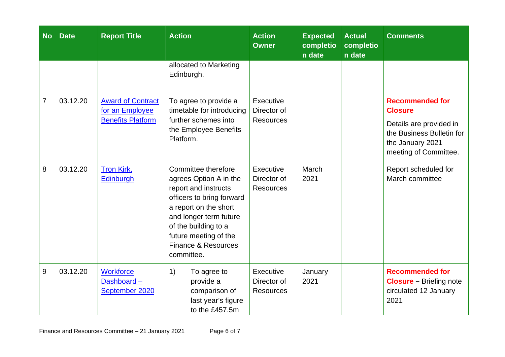| <b>No</b>      | <b>Date</b> | <b>Report Title</b>                                                     | <b>Action</b>                                                                                                                                                                                                                               | <b>Action</b><br><b>Owner</b>                | <b>Expected</b><br>completio<br>n date | <b>Actual</b><br>completio<br>n date | <b>Comments</b>                                                                                                                               |
|----------------|-------------|-------------------------------------------------------------------------|---------------------------------------------------------------------------------------------------------------------------------------------------------------------------------------------------------------------------------------------|----------------------------------------------|----------------------------------------|--------------------------------------|-----------------------------------------------------------------------------------------------------------------------------------------------|
|                |             |                                                                         | allocated to Marketing<br>Edinburgh.                                                                                                                                                                                                        |                                              |                                        |                                      |                                                                                                                                               |
| $\overline{7}$ | 03.12.20    | <b>Award of Contract</b><br>for an Employee<br><b>Benefits Platform</b> | To agree to provide a<br>timetable for introducing<br>further schemes into<br>the Employee Benefits<br>Platform.                                                                                                                            | Executive<br>Director of<br><b>Resources</b> |                                        |                                      | <b>Recommended for</b><br><b>Closure</b><br>Details are provided in<br>the Business Bulletin for<br>the January 2021<br>meeting of Committee. |
| 8              | 03.12.20    | Tron Kirk,<br>Edinburgh                                                 | Committee therefore<br>agrees Option A in the<br>report and instructs<br>officers to bring forward<br>a report on the short<br>and longer term future<br>of the building to a<br>future meeting of the<br>Finance & Resources<br>committee. | Executive<br>Director of<br><b>Resources</b> | March<br>2021                          |                                      | Report scheduled for<br>March committee                                                                                                       |
| 9              | 03.12.20    | <b>Workforce</b><br>Dashboard-<br>September 2020                        | To agree to<br>1)<br>provide a<br>comparison of<br>last year's figure<br>to the £457.5m                                                                                                                                                     | Executive<br>Director of<br><b>Resources</b> | January<br>2021                        |                                      | <b>Recommended for</b><br><b>Closure</b> - Briefing note<br>circulated 12 January<br>2021                                                     |